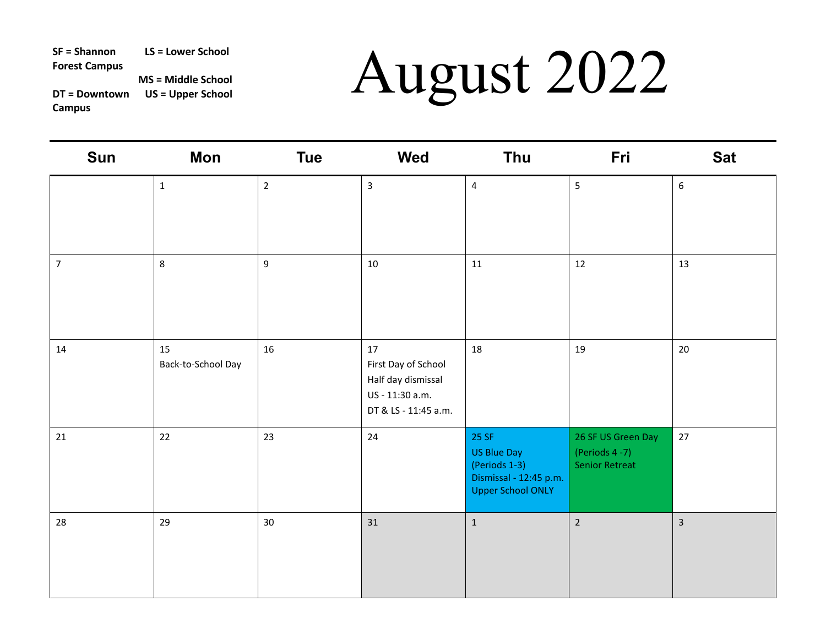| Sun            | Mon                      | <b>Tue</b>       | Wed                                                                                        | <b>Thu</b>                                                                                  | Fri                                                          | <b>Sat</b>     |
|----------------|--------------------------|------------------|--------------------------------------------------------------------------------------------|---------------------------------------------------------------------------------------------|--------------------------------------------------------------|----------------|
|                | $\mathbf{1}$             | $\overline{2}$   | $\overline{\mathbf{3}}$                                                                    | $\overline{4}$                                                                              | 5                                                            | 6              |
| $\overline{7}$ | 8                        | $\boldsymbol{9}$ | 10                                                                                         | 11                                                                                          | 12                                                           | 13             |
| 14             | 15<br>Back-to-School Day | 16               | 17<br>First Day of School<br>Half day dismissal<br>US - 11:30 a.m.<br>DT & LS - 11:45 a.m. | 18                                                                                          | 19                                                           | 20             |
| 21             | 22                       | 23               | 24                                                                                         | 25 SF<br>US Blue Day<br>(Periods 1-3)<br>Dismissal - 12:45 p.m.<br><b>Upper School ONLY</b> | 26 SF US Green Day<br>(Periods 4-7)<br><b>Senior Retreat</b> | 27             |
| 28             | 29                       | 30               | 31                                                                                         | $\mathbf 1$                                                                                 | $\overline{2}$                                               | $\overline{3}$ |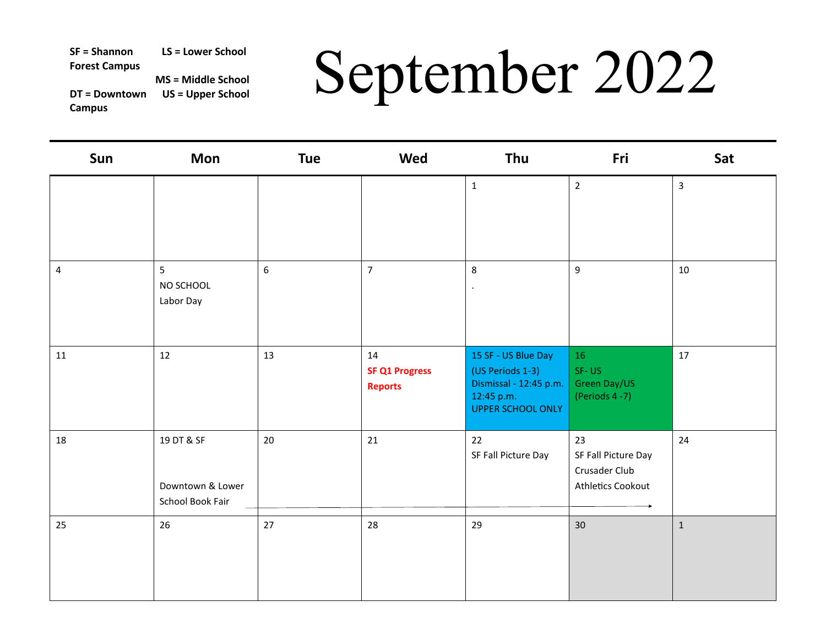# SF = Shannon LS = Lower School **September 2022**<br>
DT = Downtown US = Upper School **Campus**

| Sun            | Mon                                                | <b>Tue</b> | Wed                                           | Thu                                                                                                         | Fri                                                             | Sat          |
|----------------|----------------------------------------------------|------------|-----------------------------------------------|-------------------------------------------------------------------------------------------------------------|-----------------------------------------------------------------|--------------|
|                |                                                    |            |                                               | $\mathbf{1}$                                                                                                | $\overline{2}$                                                  | $\mathbf{3}$ |
| $\overline{4}$ | 5<br>NO SCHOOL<br>Labor Day                        | 6          | $\overline{7}$                                | 8<br>$\bullet$                                                                                              | 9                                                               | 10           |
| 11             | 12                                                 | 13         | 14<br><b>SF Q1 Progress</b><br><b>Reports</b> | 15 SF - US Blue Day<br>(US Periods 1-3)<br>Dismissal - 12:45 p.m.<br>12:45 p.m.<br><b>UPPER SCHOOL ONLY</b> | 16<br>SF-US<br>Green Day/US<br>(Periods 4-7)                    | 17           |
| 18             | 19 DT & SF<br>Downtown & Lower<br>School Book Fair | $20\,$     | 21                                            | 22<br>SF Fall Picture Day                                                                                   | 23<br>SF Fall Picture Day<br>Crusader Club<br>Athletics Cookout | 24           |
| 25             | 26                                                 | 27         | 28                                            | 29                                                                                                          | 30                                                              | $\mathbf{1}$ |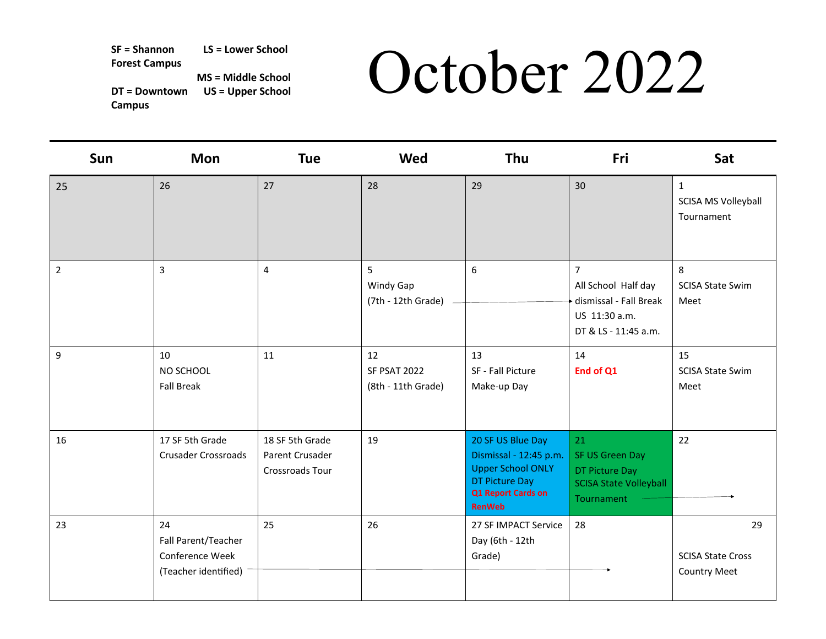# SF = Shannon LS = Lower School<br>Forest Campus MS = Middle School **DCtober 2022**<br>Campus Campus Compus **DET**

| Sun            | <b>Mon</b>                                                           | <b>Tue</b>                                                   | Wed                                             | Thu                                                                                                                                     | Fri                                                                                                      | Sat                                                   |
|----------------|----------------------------------------------------------------------|--------------------------------------------------------------|-------------------------------------------------|-----------------------------------------------------------------------------------------------------------------------------------------|----------------------------------------------------------------------------------------------------------|-------------------------------------------------------|
| 25             | 26                                                                   | 27                                                           | 28                                              | 29                                                                                                                                      | 30                                                                                                       | $\mathbf{1}$<br>SCISA MS Volleyball<br>Tournament     |
| $\overline{2}$ | 3                                                                    | 4                                                            | 5<br>Windy Gap<br>(7th - 12th Grade)            | 6                                                                                                                                       | $\overline{7}$<br>All School Half day<br>dismissal - Fall Break<br>US 11:30 a.m.<br>DT & LS - 11:45 a.m. | 8<br><b>SCISA State Swim</b><br>Meet                  |
| 9              | 10<br>NO SCHOOL<br><b>Fall Break</b>                                 | 11                                                           | 12<br><b>SF PSAT 2022</b><br>(8th - 11th Grade) | 13<br>SF - Fall Picture<br>Make-up Day                                                                                                  | 14<br>End of Q1                                                                                          | 15<br><b>SCISA State Swim</b><br>Meet                 |
| 16             | 17 SF 5th Grade<br><b>Crusader Crossroads</b>                        | 18 SF 5th Grade<br>Parent Crusader<br><b>Crossroads Tour</b> | 19                                              | 20 SF US Blue Day<br>Dismissal - 12:45 p.m.<br><b>Upper School ONLY</b><br><b>DT Picture Day</b><br>Q1 Report Cards on<br><b>RenWeb</b> | 21<br>SF US Green Day<br>DT Picture Day<br><b>SCISA State Volleyball</b><br>Tournament                   | 22                                                    |
| 23             | 24<br>Fall Parent/Teacher<br>Conference Week<br>(Teacher identified) | 25                                                           | 26                                              | 27 SF IMPACT Service<br>Day (6th - 12th<br>Grade)                                                                                       | 28                                                                                                       | 29<br><b>SCISA State Cross</b><br><b>Country Meet</b> |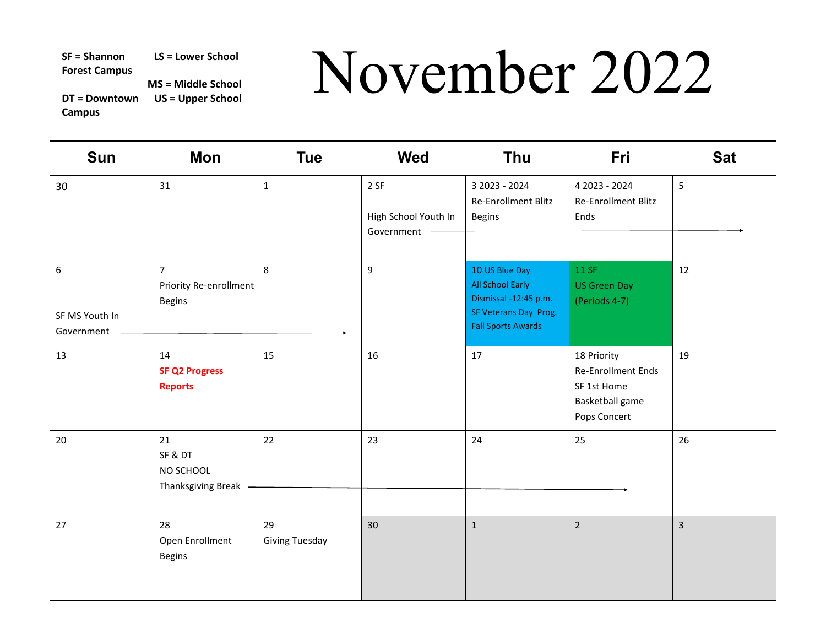**DT = Downtown US = Upper School Campus** 

# SF = Shannon LS = Lower School<br>Por = Downtown US = Upper School NOVemBer 2022<br>Campus

| <b>Sun</b>                                       | <b>Mon</b>                                                | <b>Tue</b>                  | <b>Wed</b>                                 | Thu                                                                                                               | Fri                                                                                 | <b>Sat</b>     |
|--------------------------------------------------|-----------------------------------------------------------|-----------------------------|--------------------------------------------|-------------------------------------------------------------------------------------------------------------------|-------------------------------------------------------------------------------------|----------------|
| 30                                               | 31                                                        | $\mathbf{1}$                | 2 SF<br>High School Youth In<br>Government | 3 2023 - 2024<br>Re-Enrollment Blitz<br><b>Begins</b>                                                             | 4 2023 - 2024<br>Re-Enrollment Blitz<br>Ends                                        | 5              |
| $\boldsymbol{6}$<br>SF MS Youth In<br>Government | $\overline{7}$<br>Priority Re-enrollment<br><b>Begins</b> | 8                           | $\overline{9}$                             | 10 US Blue Day<br>All School Early<br>Dismissal -12:45 p.m.<br>SF Veterans Day Prog.<br><b>Fall Sports Awards</b> | 11 SF<br><b>US Green Day</b><br>(Periods 4-7)                                       | 12             |
| 13                                               | 14<br><b>SF Q2 Progress</b><br><b>Reports</b>             | 15                          | 16                                         | 17                                                                                                                | 18 Priority<br>Re-Enrollment Ends<br>SF 1st Home<br>Basketball game<br>Pops Concert | 19             |
| 20                                               | 21<br>SF & DT<br>NO SCHOOL<br>Thanksgiving Break          | 22                          | 23                                         | 24                                                                                                                | 25                                                                                  | 26             |
| 27                                               | 28<br>Open Enrollment<br><b>Begins</b>                    | 29<br><b>Giving Tuesday</b> | 30                                         | $\mathbf 1$                                                                                                       | $\overline{2}$                                                                      | $\overline{3}$ |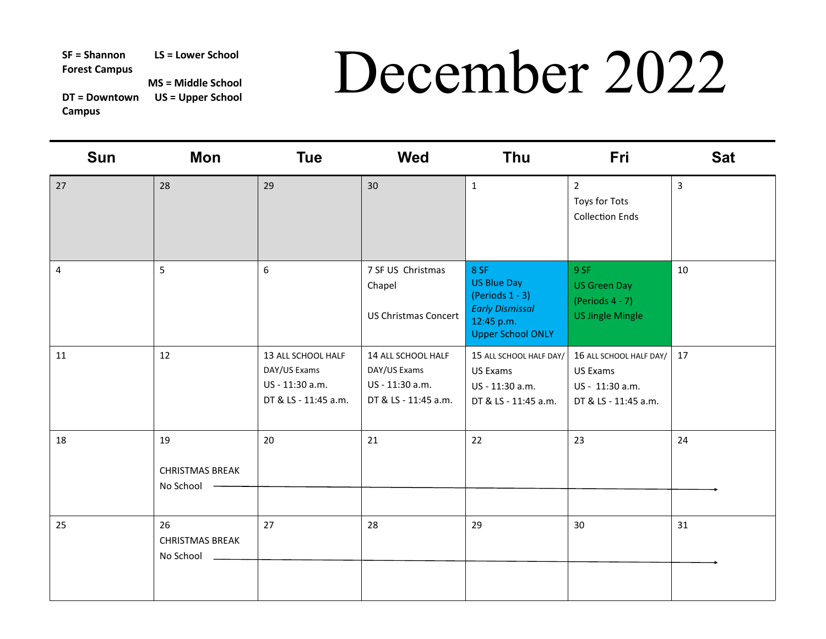# SF = Shannon LS = Lower School **December 2022**<br>
Por = Downtown US = Upper School **December 2022**

| Sun | Mon                                       | <b>Tue</b>                                                                    | Wed                                                                           | <b>Thu</b>                                                                                                           | Fri                                                                            | <b>Sat</b>     |
|-----|-------------------------------------------|-------------------------------------------------------------------------------|-------------------------------------------------------------------------------|----------------------------------------------------------------------------------------------------------------------|--------------------------------------------------------------------------------|----------------|
| 27  | 28                                        | 29                                                                            | 30                                                                            | $\mathbf{1}$                                                                                                         | $\overline{2}$<br>Toys for Tots<br><b>Collection Ends</b>                      | $\overline{3}$ |
| 4   | 5                                         | $\boldsymbol{6}$                                                              | 7 SF US Christmas<br>Chapel<br><b>US Christmas Concert</b>                    | 8 SF<br><b>US Blue Day</b><br>(Periods $1 - 3$ )<br><b>Early Dismissal</b><br>12:45 p.m.<br><b>Upper School ONLY</b> | 9 SF<br><b>US Green Day</b><br>(Periods $4 - 7$ )<br><b>US Jingle Mingle</b>   | 10             |
| 11  | 12                                        | 13 ALL SCHOOL HALF<br>DAY/US Exams<br>US - 11:30 a.m.<br>DT & LS - 11:45 a.m. | 14 ALL SCHOOL HALF<br>DAY/US Exams<br>US - 11:30 a.m.<br>DT & LS - 11:45 a.m. | 15 ALL SCHOOL HALF DAY/<br>US Exams<br>US - 11:30 a.m.<br>DT & LS - 11:45 a.m.                                       | 16 ALL SCHOOL HALF DAY/<br>US Exams<br>US - 11:30 a.m.<br>DT & LS - 11:45 a.m. | 17             |
| 18  | 19<br><b>CHRISTMAS BREAK</b><br>No School | 20                                                                            | 21                                                                            | 22                                                                                                                   | 23                                                                             | 24             |
| 25  | 26<br><b>CHRISTMAS BREAK</b><br>No School | 27                                                                            | 28                                                                            | 29                                                                                                                   | 30                                                                             | 31             |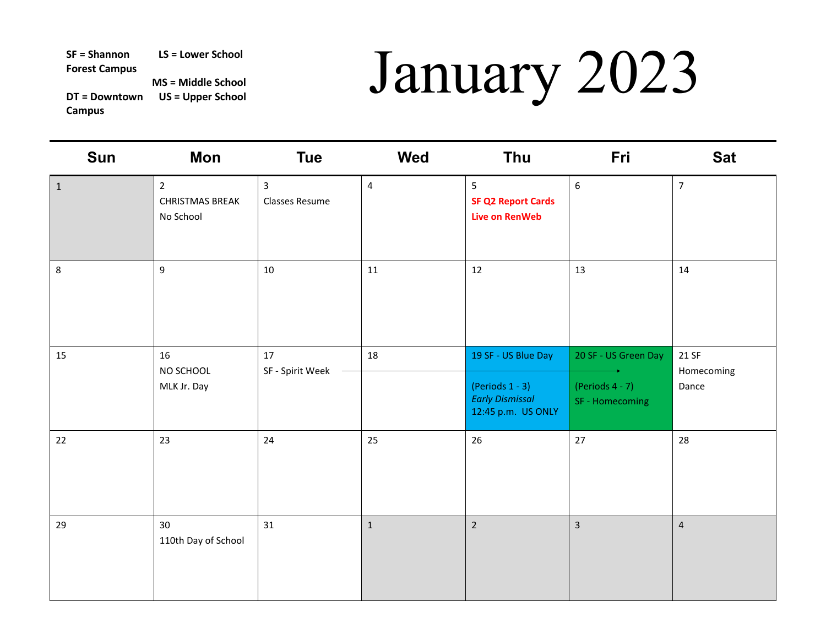## SF = Shannon LS = Lower School<br>Forest Campus MS = Middle School WS = Upper School **DT = Downtown US = Upper School**

| Sun          | Mon                                                   | <b>Tue</b>                              | Wed            | Thu                                                                  | Fri                                   | <b>Sat</b>          |
|--------------|-------------------------------------------------------|-----------------------------------------|----------------|----------------------------------------------------------------------|---------------------------------------|---------------------|
| $\mathbf{1}$ | $\overline{2}$<br><b>CHRISTMAS BREAK</b><br>No School | $\overline{3}$<br><b>Classes Resume</b> | $\overline{4}$ | 5 <sup>5</sup><br><b>SF Q2 Report Cards</b><br><b>Live on RenWeb</b> | $\boldsymbol{6}$                      | $\overline{7}$      |
| 8            | 9                                                     | 10                                      | 11             | 12                                                                   | 13                                    | 14                  |
| 15           | 16<br>NO SCHOOL                                       | 17<br>SF - Spirit Week                  | 18             | 19 SF - US Blue Day                                                  | 20 SF - US Green Day                  | 21 SF<br>Homecoming |
|              | MLK Jr. Day                                           |                                         |                | (Periods $1 - 3$ )<br><b>Early Dismissal</b><br>12:45 p.m. US ONLY   | (Periods $4 - 7$ )<br>SF - Homecoming | Dance               |
| 22           | 23                                                    | 24                                      | 25             | 26                                                                   | 27                                    | 28                  |
| 29           | 30 <sup>°</sup><br>110th Day of School                | 31                                      | $\mathbf{1}$   | $\overline{2}$                                                       | $\overline{3}$                        | $\overline{4}$      |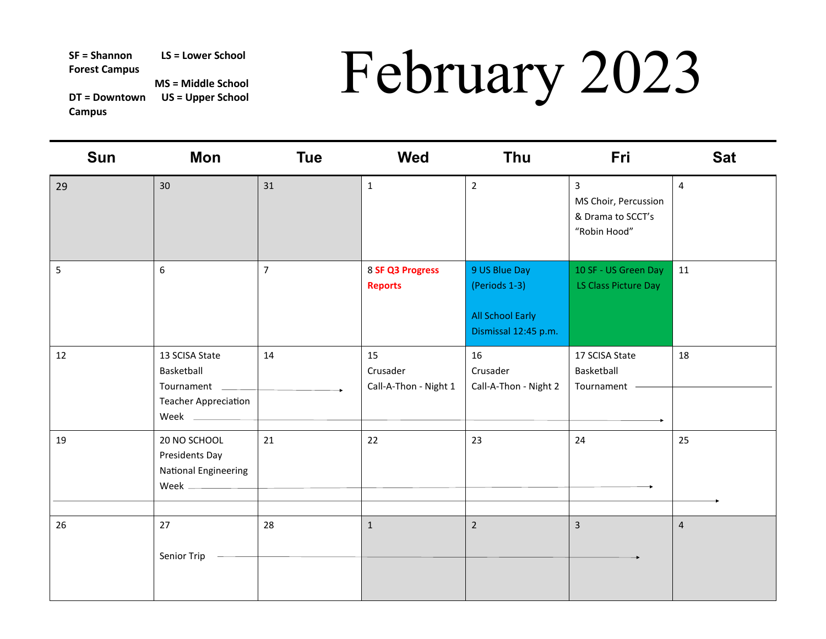# SF = Shannon LS = Lower School MS = Middle School MS = Middle School MS = Upper School **DT LLAT**<br>DT = Downtown US = Upper School **DT LLAT**<br>Campus

| Sun | Mon                                                                       | <b>Tue</b>     | <b>Wed</b>                              | Thu                                                                               | Fri                                                                         | <b>Sat</b>     |
|-----|---------------------------------------------------------------------------|----------------|-----------------------------------------|-----------------------------------------------------------------------------------|-----------------------------------------------------------------------------|----------------|
| 29  | 30                                                                        | 31             | $\mathbf{1}$                            | $\overline{2}$                                                                    | $\overline{3}$<br>MS Choir, Percussion<br>& Drama to SCCT's<br>"Robin Hood" | $\overline{4}$ |
| 5   | 6                                                                         | $\overline{7}$ | 8 SF Q3 Progress<br><b>Reports</b>      | 9 US Blue Day<br>(Periods 1-3)<br><b>All School Early</b><br>Dismissal 12:45 p.m. | 10 SF - US Green Day<br>LS Class Picture Day                                | 11             |
| 12  | 13 SCISA State<br>Basketball<br>Tournament<br><b>Teacher Appreciation</b> | 14             | 15<br>Crusader<br>Call-A-Thon - Night 1 | 16<br>Crusader<br>Call-A-Thon - Night 2                                           | 17 SCISA State<br>Basketball<br>Tournament                                  | 18             |
| 19  | 20 NO SCHOOL<br>Presidents Day<br>National Engineering                    | 21             | 22                                      | 23                                                                                | 24                                                                          | 25             |
| 26  | 27<br>Senior Trip                                                         | 28             | $\mathbf{1}$                            | $\overline{2}$                                                                    | $\overline{3}$                                                              | $\overline{4}$ |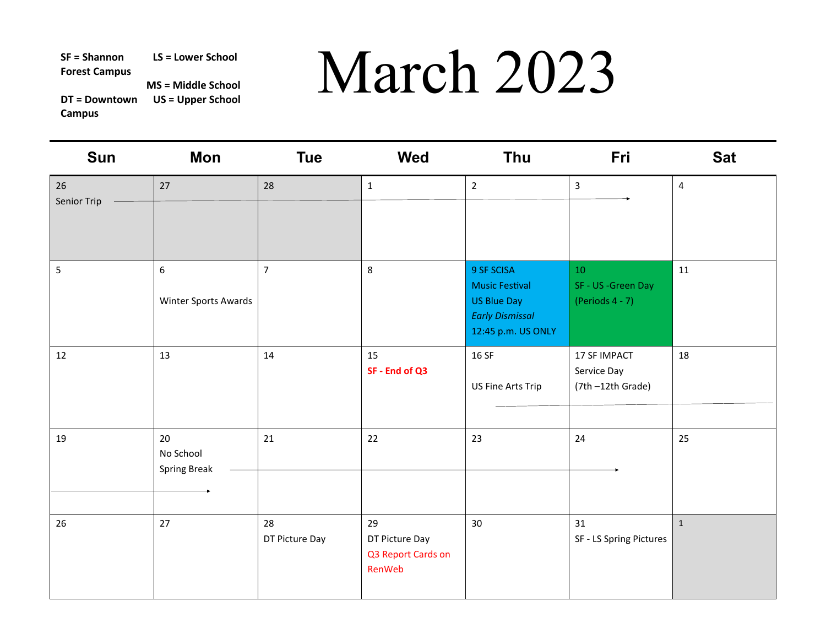**DT = Downtown US = Upper School Campus** 

| <b>Sun</b>        | <b>Mon</b>                               | <b>Tue</b>           | <b>Wed</b>                                           | Thu                                                                                                       | Fri                                                | <b>Sat</b>     |
|-------------------|------------------------------------------|----------------------|------------------------------------------------------|-----------------------------------------------------------------------------------------------------------|----------------------------------------------------|----------------|
| 26<br>Senior Trip | 27                                       | 28                   | $\mathbf{1}$                                         | $\overline{2}$                                                                                            | $\overline{3}$                                     | $\overline{4}$ |
| 5                 | $\boldsymbol{6}$<br>Winter Sports Awards | $\overline{7}$       | 8                                                    | 9 SF SCISA<br><b>Music Festival</b><br><b>US Blue Day</b><br><b>Early Dismissal</b><br>12:45 p.m. US ONLY | $10\,$<br>SF - US -Green Day<br>(Periods $4 - 7$ ) | 11             |
| 12                | 13                                       | 14                   | 15<br>SF - End of Q3                                 | 16 SF<br>US Fine Arts Trip                                                                                | 17 SF IMPACT<br>Service Day<br>(7th-12th Grade)    | 18             |
| 19                | 20<br>No School<br><b>Spring Break</b>   | 21                   | 22                                                   | 23                                                                                                        | 24                                                 | 25             |
| 26                | 27                                       | 28<br>DT Picture Day | 29<br>DT Picture Day<br>Q3 Report Cards on<br>RenWeb | 30                                                                                                        | 31<br>SF - LS Spring Pictures                      | $\mathbf{1}$   |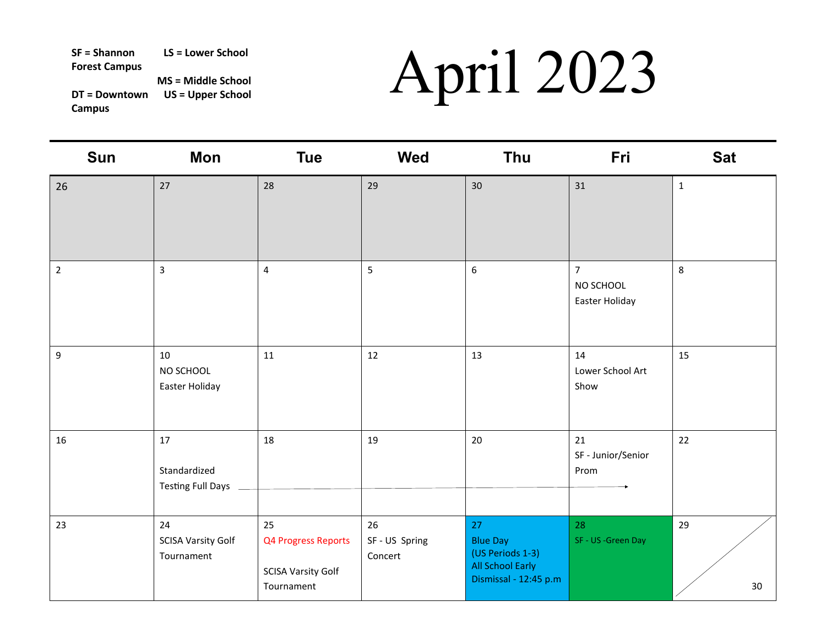| <b>Sun</b>     | <b>Mon</b>                                     | <b>Tue</b>                                                           | <b>Wed</b>                    | Thu                                                                                           | Fri                                           | <b>Sat</b>   |
|----------------|------------------------------------------------|----------------------------------------------------------------------|-------------------------------|-----------------------------------------------------------------------------------------------|-----------------------------------------------|--------------|
| 26             | 27                                             | 28                                                                   | 29                            | 30                                                                                            | 31                                            | $\mathbf{1}$ |
| $\overline{2}$ | $\overline{3}$                                 | $\overline{\mathbf{4}}$                                              | 5                             | $\boldsymbol{6}$                                                                              | $\overline{7}$<br>NO SCHOOL<br>Easter Holiday | 8            |
| 9              | 10<br>NO SCHOOL<br>Easter Holiday              | 11                                                                   | 12                            | 13                                                                                            | 14<br>Lower School Art<br>Show                | 15           |
| 16             | 17<br>Standardized<br><b>Testing Full Days</b> | 18                                                                   | 19                            | $20\,$                                                                                        | 21<br>SF - Junior/Senior<br>Prom              | 22           |
| 23             | 24<br><b>SCISA Varsity Golf</b><br>Tournament  | 25<br>Q4 Progress Reports<br><b>SCISA Varsity Golf</b><br>Tournament | 26<br>SF-US Spring<br>Concert | 27<br><b>Blue Day</b><br>(US Periods 1-3)<br><b>All School Early</b><br>Dismissal - 12:45 p.m | 28<br>SF - US -Green Day                      | 29<br>30     |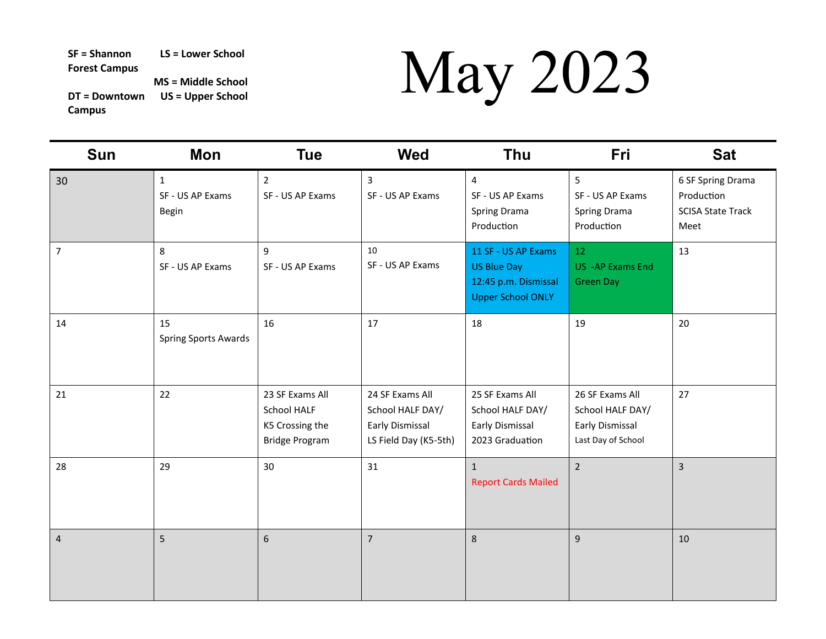| <b>Sun</b>     | <b>Mon</b>                                       | <b>Tue</b>                                                                        | <b>Wed</b>                                                                      | <b>Thu</b>                                                                             | Fri                                                                          | <b>Sat</b>                                                          |
|----------------|--------------------------------------------------|-----------------------------------------------------------------------------------|---------------------------------------------------------------------------------|----------------------------------------------------------------------------------------|------------------------------------------------------------------------------|---------------------------------------------------------------------|
| 30             | $\mathbf{1}$<br>SF - US AP Exams<br><b>Begin</b> | $2^{\circ}$<br>SF - US AP Exams                                                   | $\overline{3}$<br>SF - US AP Exams                                              | $\overline{4}$<br>SF - US AP Exams<br><b>Spring Drama</b><br>Production                | 5<br>SF - US AP Exams<br>Spring Drama<br>Production                          | 6 SF Spring Drama<br>Production<br><b>SCISA State Track</b><br>Meet |
| $\overline{7}$ | $\bf 8$<br>SF - US AP Exams                      | 9<br>SF - US AP Exams                                                             | 10<br>SF - US AP Exams                                                          | 11 SF - US AP Exams<br>US Blue Day<br>12:45 p.m. Dismissal<br><b>Upper School ONLY</b> | 12<br>US - AP Exams End<br><b>Green Day</b>                                  | 13                                                                  |
| 14             | 15<br><b>Spring Sports Awards</b>                | 16                                                                                | 17                                                                              | 18                                                                                     | 19                                                                           | 20                                                                  |
| 21             | 22                                               | 23 SF Exams All<br><b>School HALF</b><br>K5 Crossing the<br><b>Bridge Program</b> | 24 SF Exams All<br>School HALF DAY/<br>Early Dismissal<br>LS Field Day (K5-5th) | 25 SF Exams All<br>School HALF DAY/<br>Early Dismissal<br>2023 Graduation              | 26 SF Exams All<br>School HALF DAY/<br>Early Dismissal<br>Last Day of School | 27                                                                  |
| 28             | 29                                               | 30                                                                                | 31                                                                              | $\mathbf{1}$<br><b>Report Cards Mailed</b>                                             | $\overline{2}$                                                               | $\overline{3}$                                                      |
| $\overline{4}$ | 5                                                | $\boldsymbol{6}$                                                                  | $\overline{7}$                                                                  | 8                                                                                      | 9                                                                            | 10                                                                  |